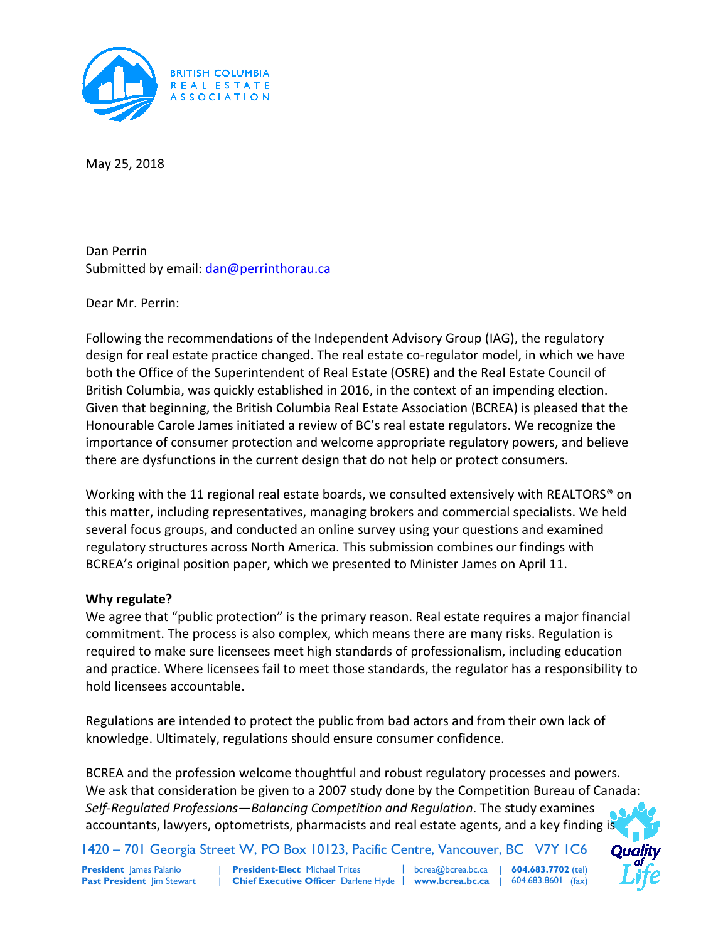

May 25, 2018

Dan Perrin Submitted by email[: dan@perrinthorau.ca](mailto:dan@perrinthorau.ca)

Dear Mr. Perrin:

Following the recommendations of the Independent Advisory Group (IAG), the regulatory design for real estate practice changed. The real estate co-regulator model, in which we have both the Office of the Superintendent of Real Estate (OSRE) and the Real Estate Council of British Columbia, was quickly established in 2016, in the context of an impending election. Given that beginning, the British Columbia Real Estate Association (BCREA) is pleased that the Honourable Carole James initiated a review of BC's real estate regulators. We recognize the importance of consumer protection and welcome appropriate regulatory powers, and believe there are dysfunctions in the current design that do not help or protect consumers.

Working with the 11 regional real estate boards, we consulted extensively with REALTORS<sup>®</sup> on this matter, including representatives, managing brokers and commercial specialists. We held several focus groups, and conducted an online survey using your questions and examined regulatory structures across North America. This submission combines our findings with BCREA's original position paper, which we presented to Minister James on April 11.

## **Why regulate?**

We agree that "public protection" is the primary reason. Real estate requires a major financial commitment. The process is also complex, which means there are many risks. Regulation is required to make sure licensees meet high standards of professionalism, including education and practice. Where licensees fail to meet those standards, the regulator has a responsibility to hold licensees accountable.

Regulations are intended to protect the public from bad actors and from their own lack of knowledge. Ultimately, regulations should ensure consumer confidence.

BCREA and the profession welcome thoughtful and robust regulatory processes and powers. We ask that consideration be given to a 2007 study done by the Competition Bureau of Canada: *Self-Regulated Professions—Balancing Competition and Regulation*. The study examines accountants, lawyers, optometrists, pharmacists and real estate agents, and a key finding is

| 1420 – 701 Georgia Street W, PO Box 10123, Pacific Centre, Vancouver, BC V7Y 1C6

**President** James Palanio **Past President** Jim Stewart

Chief Executive Officer Darlene Hyde | www.bcrea.bc.ca | 604.683.8601 (fax) **President-Elect** Michael Trites

| bcrea@bcrea.bc.ca | | **604.683.7702** (tel)

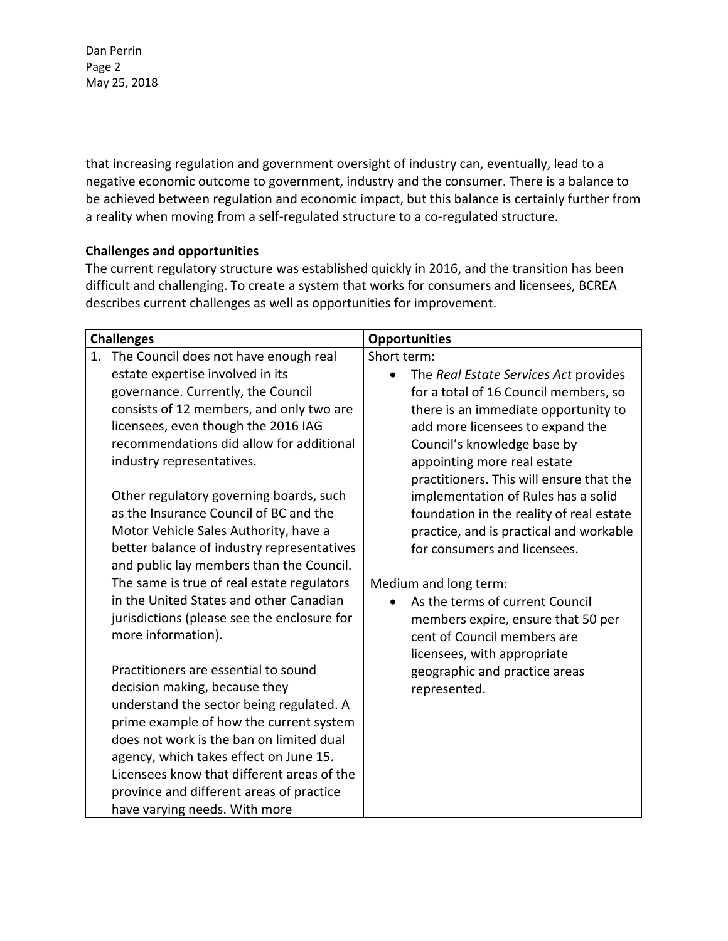Dan Perrin Page 2 May 25, 2018

that increasing regulation and government oversight of industry can, eventually, lead to a negative economic outcome to government, industry and the consumer. There is a balance to be achieved between regulation and economic impact, but this balance is certainly further from a reality when moving from a self-regulated structure to a co-regulated structure.

## **Challenges and opportunities**

The current regulatory structure was established quickly in 2016, and the transition has been difficult and challenging. To create a system that works for consumers and licensees, BCREA describes current challenges as well as opportunities for improvement.

| <b>Challenges</b> |                                                                                                                                                                   | <b>Opportunities</b>                     |
|-------------------|-------------------------------------------------------------------------------------------------------------------------------------------------------------------|------------------------------------------|
|                   | 1. The Council does not have enough real                                                                                                                          | Short term:                              |
|                   | estate expertise involved in its                                                                                                                                  | The Real Estate Services Act provides    |
|                   | governance. Currently, the Council                                                                                                                                | for a total of 16 Council members, so    |
|                   | consists of 12 members, and only two are                                                                                                                          | there is an immediate opportunity to     |
|                   | licensees, even though the 2016 IAG                                                                                                                               | add more licensees to expand the         |
|                   | recommendations did allow for additional                                                                                                                          | Council's knowledge base by              |
|                   | industry representatives.                                                                                                                                         | appointing more real estate              |
|                   |                                                                                                                                                                   | practitioners. This will ensure that the |
|                   | Other regulatory governing boards, such                                                                                                                           | implementation of Rules has a solid      |
|                   | as the Insurance Council of BC and the                                                                                                                            | foundation in the reality of real estate |
|                   | Motor Vehicle Sales Authority, have a                                                                                                                             | practice, and is practical and workable  |
|                   | better balance of industry representatives                                                                                                                        | for consumers and licensees.             |
|                   | and public lay members than the Council.                                                                                                                          |                                          |
|                   | The same is true of real estate regulators                                                                                                                        | Medium and long term:                    |
|                   | in the United States and other Canadian                                                                                                                           | As the terms of current Council          |
|                   | jurisdictions (please see the enclosure for                                                                                                                       | members expire, ensure that 50 per       |
|                   | more information).                                                                                                                                                | cent of Council members are              |
|                   |                                                                                                                                                                   | licensees, with appropriate              |
|                   | Practitioners are essential to sound                                                                                                                              | geographic and practice areas            |
|                   | decision making, because they                                                                                                                                     | represented.                             |
|                   | understand the sector being regulated. A                                                                                                                          |                                          |
|                   | prime example of how the current system                                                                                                                           |                                          |
|                   | does not work is the ban on limited dual                                                                                                                          |                                          |
|                   |                                                                                                                                                                   |                                          |
|                   |                                                                                                                                                                   |                                          |
|                   |                                                                                                                                                                   |                                          |
|                   | agency, which takes effect on June 15.<br>Licensees know that different areas of the<br>province and different areas of practice<br>have varying needs. With more |                                          |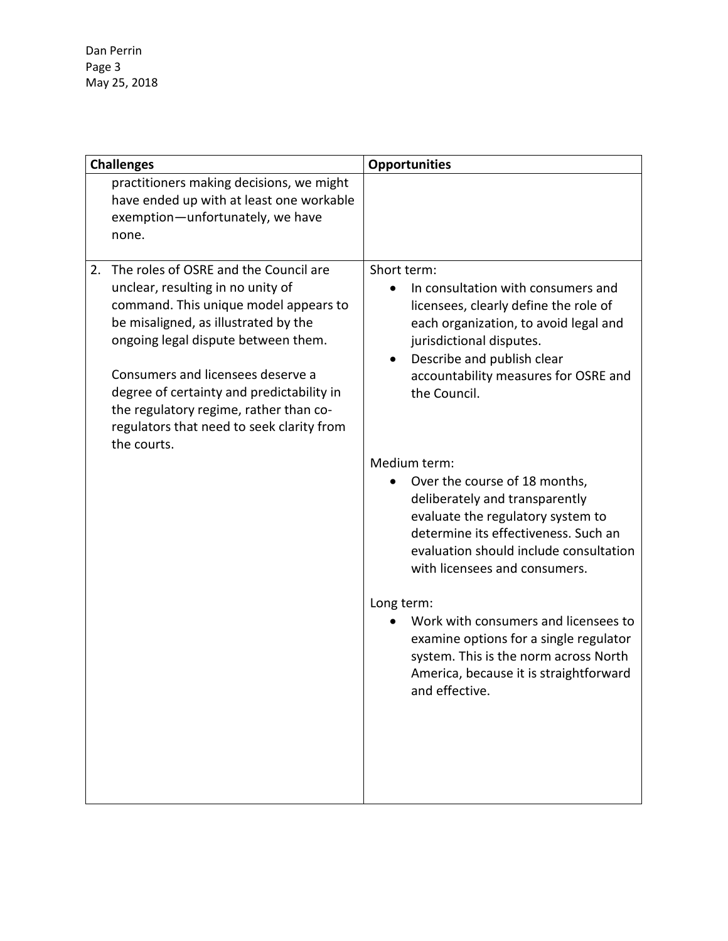Dan Perrin Page 3 May 25, 2018

| <b>Challenges</b>                                                                                                                                                                                                                                                                                                                                 | <b>Opportunities</b>                                                                                                                                                                                                                    |
|---------------------------------------------------------------------------------------------------------------------------------------------------------------------------------------------------------------------------------------------------------------------------------------------------------------------------------------------------|-----------------------------------------------------------------------------------------------------------------------------------------------------------------------------------------------------------------------------------------|
| practitioners making decisions, we might<br>have ended up with at least one workable<br>exemption-unfortunately, we have<br>none.<br>The roles of OSRE and the Council are<br>2.                                                                                                                                                                  | Short term:                                                                                                                                                                                                                             |
| unclear, resulting in no unity of<br>command. This unique model appears to<br>be misaligned, as illustrated by the<br>ongoing legal dispute between them.<br>Consumers and licensees deserve a<br>degree of certainty and predictability in<br>the regulatory regime, rather than co-<br>regulators that need to seek clarity from<br>the courts. | In consultation with consumers and<br>licensees, clearly define the role of<br>each organization, to avoid legal and<br>jurisdictional disputes.<br>Describe and publish clear<br>accountability measures for OSRE and<br>the Council.  |
|                                                                                                                                                                                                                                                                                                                                                   | Medium term:<br>Over the course of 18 months,<br>deliberately and transparently<br>evaluate the regulatory system to<br>determine its effectiveness. Such an<br>evaluation should include consultation<br>with licensees and consumers. |
|                                                                                                                                                                                                                                                                                                                                                   | Long term:<br>Work with consumers and licensees to<br>examine options for a single regulator<br>system. This is the norm across North<br>America, because it is straightforward<br>and effective.                                       |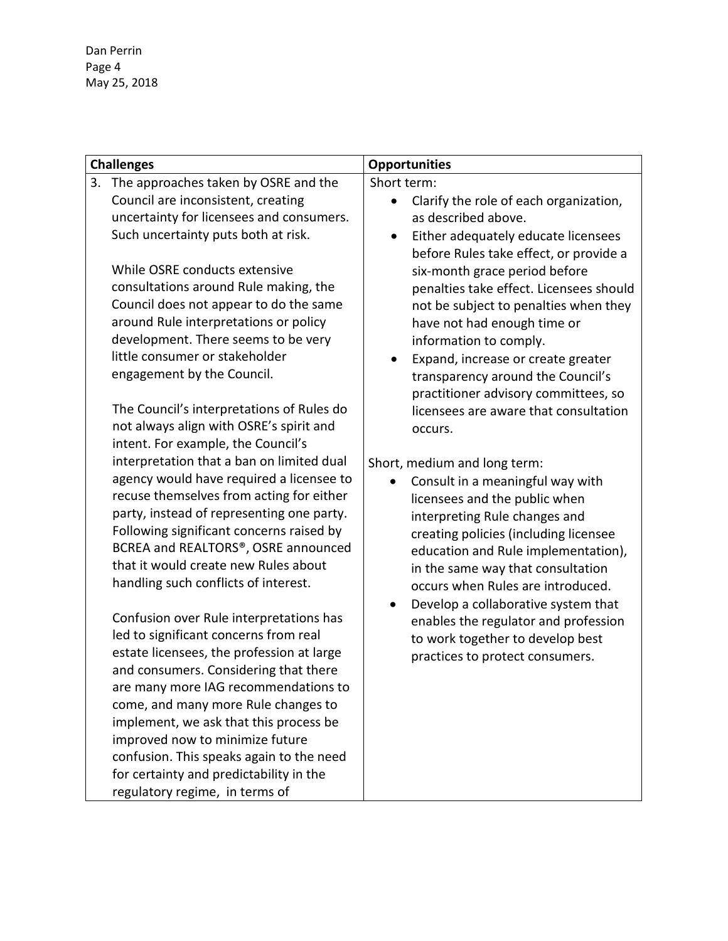Dan Perrin Page 4 May 25, 2018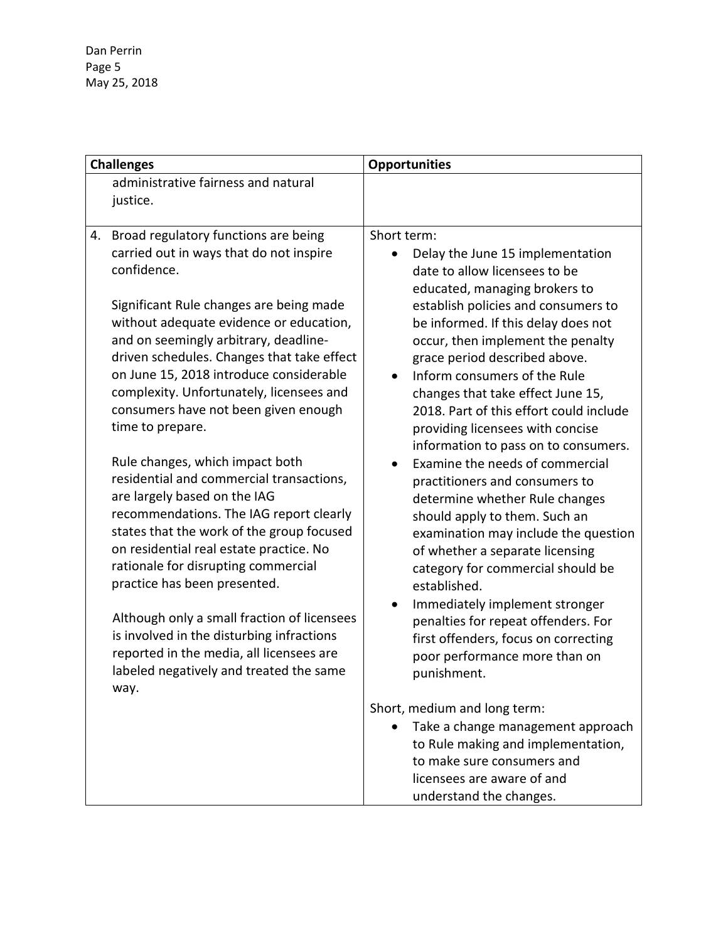Dan Perrin Page 5 May 25, 2018

| <b>Challenges</b> |                                                                                    | <b>Opportunities</b>                                               |
|-------------------|------------------------------------------------------------------------------------|--------------------------------------------------------------------|
|                   | administrative fairness and natural                                                |                                                                    |
|                   | justice.                                                                           |                                                                    |
|                   |                                                                                    |                                                                    |
| 4.                | Broad regulatory functions are being                                               | Short term:                                                        |
|                   | carried out in ways that do not inspire<br>confidence.                             | Delay the June 15 implementation                                   |
|                   |                                                                                    | date to allow licensees to be                                      |
|                   |                                                                                    | educated, managing brokers to                                      |
|                   | Significant Rule changes are being made<br>without adequate evidence or education, | establish policies and consumers to                                |
|                   | and on seemingly arbitrary, deadline-                                              | be informed. If this delay does not                                |
|                   | driven schedules. Changes that take effect                                         | occur, then implement the penalty<br>grace period described above. |
|                   | on June 15, 2018 introduce considerable                                            | Inform consumers of the Rule                                       |
|                   | complexity. Unfortunately, licensees and                                           | changes that take effect June 15,                                  |
|                   | consumers have not been given enough                                               | 2018. Part of this effort could include                            |
|                   | time to prepare.                                                                   | providing licensees with concise                                   |
|                   |                                                                                    | information to pass on to consumers.                               |
|                   | Rule changes, which impact both                                                    | Examine the needs of commercial                                    |
|                   | residential and commercial transactions,                                           | practitioners and consumers to                                     |
|                   | are largely based on the IAG                                                       | determine whether Rule changes                                     |
|                   | recommendations. The IAG report clearly                                            | should apply to them. Such an                                      |
|                   | states that the work of the group focused                                          | examination may include the question                               |
|                   | on residential real estate practice. No                                            | of whether a separate licensing                                    |
|                   | rationale for disrupting commercial                                                | category for commercial should be                                  |
|                   | practice has been presented.                                                       | established.                                                       |
|                   |                                                                                    | Immediately implement stronger                                     |
|                   | Although only a small fraction of licensees                                        | penalties for repeat offenders. For                                |
|                   | is involved in the disturbing infractions                                          | first offenders, focus on correcting                               |
|                   | reported in the media, all licensees are                                           | poor performance more than on                                      |
|                   | labeled negatively and treated the same                                            | punishment.                                                        |
|                   | way.                                                                               |                                                                    |
|                   |                                                                                    | Short, medium and long term:                                       |
|                   |                                                                                    | Take a change management approach                                  |
|                   |                                                                                    | to Rule making and implementation,                                 |
|                   |                                                                                    | to make sure consumers and                                         |
|                   |                                                                                    | licensees are aware of and                                         |
|                   |                                                                                    | understand the changes.                                            |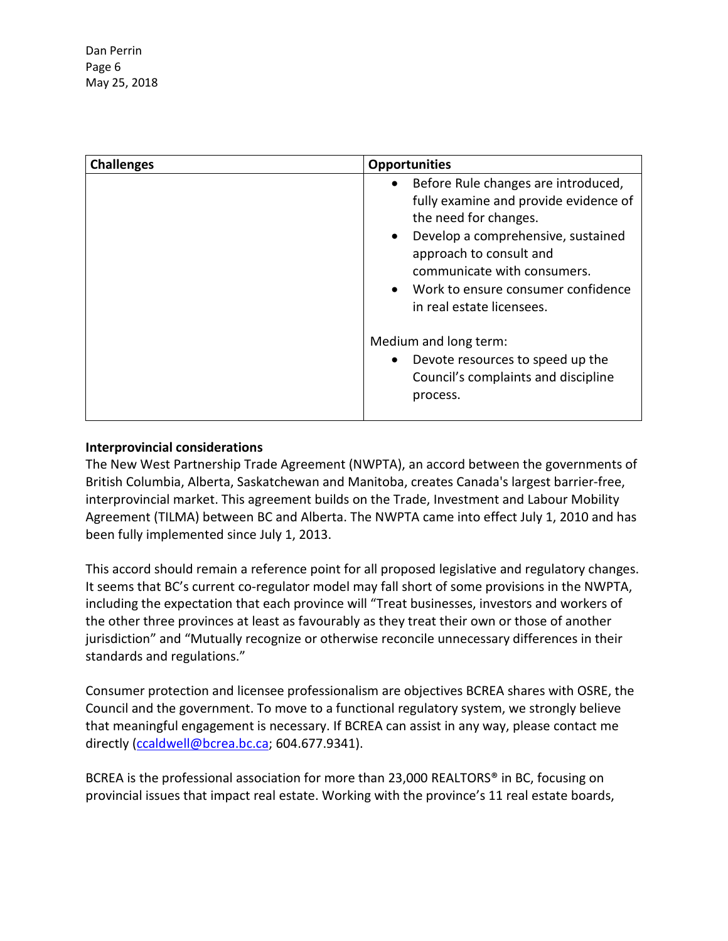| <b>Challenges</b> | <b>Opportunities</b>                                                                                                                                                                                                                                                                                            |
|-------------------|-----------------------------------------------------------------------------------------------------------------------------------------------------------------------------------------------------------------------------------------------------------------------------------------------------------------|
|                   | Before Rule changes are introduced,<br>$\bullet$<br>fully examine and provide evidence of<br>the need for changes.<br>Develop a comprehensive, sustained<br>$\bullet$<br>approach to consult and<br>communicate with consumers.<br>Work to ensure consumer confidence<br>$\bullet$<br>in real estate licensees. |
|                   | Medium and long term:<br>Devote resources to speed up the<br>$\bullet$<br>Council's complaints and discipline<br>process.                                                                                                                                                                                       |

## **Interprovincial considerations**

The New West Partnership Trade Agreement (NWPTA), an accord between the governments of British Columbia, Alberta, Saskatchewan and Manitoba, creates Canada's largest barrier-free, interprovincial market. This agreement builds on the Trade, Investment and Labour Mobility Agreement (TILMA) between BC and Alberta. The NWPTA came into effect July 1, 2010 and has been fully implemented since July 1, 2013.

This accord should remain a reference point for all proposed legislative and regulatory changes. It seems that BC's current co-regulator model may fall short of some provisions in the NWPTA, including the expectation that each province will "Treat businesses, investors and workers of the other three provinces at least as favourably as they treat their own or those of another jurisdiction" and "Mutually recognize or otherwise reconcile unnecessary differences in their standards and regulations."

Consumer protection and licensee professionalism are objectives BCREA shares with OSRE, the Council and the government. To move to a functional regulatory system, we strongly believe that meaningful engagement is necessary. If BCREA can assist in any way, please contact me directly [\(ccaldwell@bcrea.bc.ca;](mailto:ccaldwell@bcrea.bc.ca) 604.677.9341).

BCREA is the professional association for more than 23,000 REALTORS® in BC, focusing on provincial issues that impact real estate. Working with the province's 11 real estate boards,